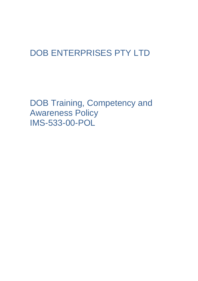## DOB ENTERPRISES PTY LTD

DOB Training, Competency and Awareness Policy IMS-533-00-POL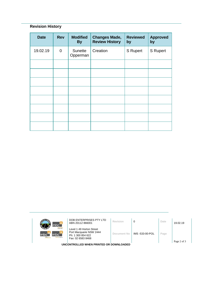## **Revision History**

| <b>Date</b> | <b>Rev</b>     | <b>Modified</b><br><b>By</b> | <b>Changes Made,</b><br><b>Review History</b> | <b>Reviewed</b><br>by | <b>Approved</b><br>by |
|-------------|----------------|------------------------------|-----------------------------------------------|-----------------------|-----------------------|
| 19.02.19    | $\overline{0}$ | Sunette<br>Opperman          | Creation                                      | <b>S</b> Rupert       | <b>S</b> Rupert       |
|             |                |                              |                                               |                       |                       |
|             |                |                              |                                               |                       |                       |
|             |                |                              |                                               |                       |                       |
|             |                |                              |                                               |                       |                       |
|             |                |                              |                                               |                       |                       |
|             |                |                              |                                               |                       |                       |
|             |                |                              |                                               |                       |                       |
|             |                |                              |                                               |                       |                       |

| mbc <sup>-</sup><br><b>Ichour hire</b><br>mbc <sup>-</sup><br>mbc<br>m <sub>tc</sub><br>sursing agency | DOB ENTERPRISES PTY LTD<br>ABN 20112 866001                                                   | Revision    | 0               | Date | 19.02.19 |  |  |
|--------------------------------------------------------------------------------------------------------|-----------------------------------------------------------------------------------------------|-------------|-----------------|------|----------|--|--|
|                                                                                                        | Level 1 49 Horton Street<br>Port Macquarie NSW 2444<br>Ph: 1 300 854 622<br>Fax: 02 6583 8468 | Document No | IMS -533-00-POL | Page |          |  |  |
| Page 2 of 3<br>UNCONTROLLED WHEN PRINTED OR DOWNLOADED                                                 |                                                                                               |             |                 |      |          |  |  |